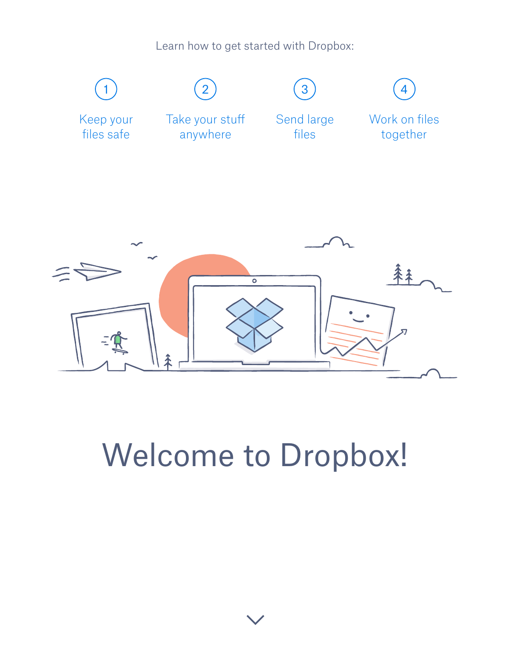Learn how to get started with Dropbox:

<span id="page-0-0"></span>

# Welcome to Dropbox!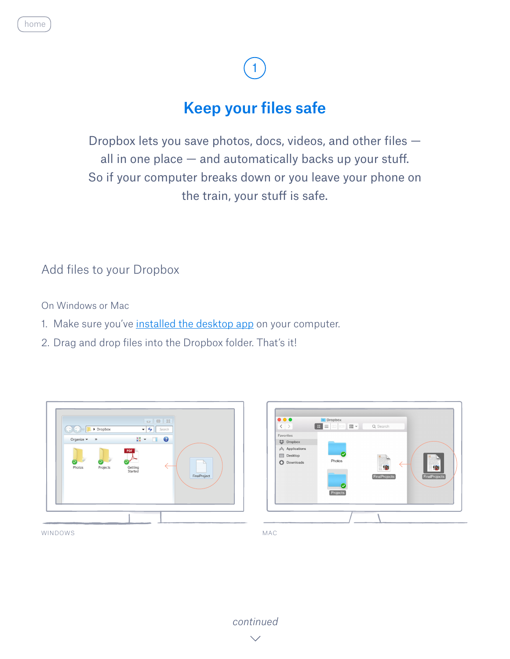### Keep your files safe

<span id="page-1-0"></span>Dropbox lets you save photos, docs, videos, and other files all in one place  $-$  and automatically backs up your stuff. So if your computer breaks down or you leave your phone on the train, your stuff is safe.

Add files to your Dropbox

On Windows or Mac

- 1. Make sure you've [installed the desktop app](https://www.dropbox.com/install) on your computer.
- 2. Drag and drop files into the Dropbox folder. That's it!





WINDOWS

*[continued](#page-2-0)*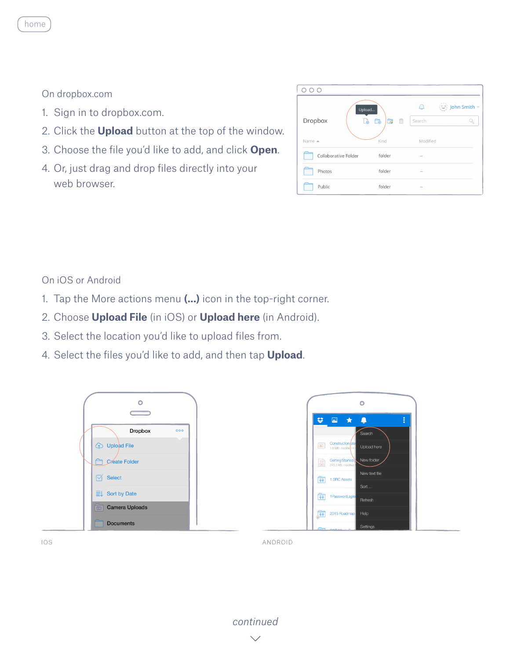#### On dropbox.com

<span id="page-2-0"></span>[home](#page-0-0)

- 1. Sign in to dropbox.com.
- 2. Click the **Upload** button at the top of the window.
- 3. Choose the file you'd like to add, and click **Open**.
- 4. Or, just drag and drop files directly into your web browser.

| Dropbox              | Upload<br>面<br>r.<br>Ġ<br>ക | i John Smith ▼<br><br>Search |
|----------------------|-----------------------------|------------------------------|
| Name ▲               | Kind                        | Modified                     |
| Collaborative Folder | folder                      | $\sim$                       |
| Photos               | folder                      | $\sim$                       |
| Public               | folder                      | $\sim$                       |

#### On iOS or Android

- 1. Tap the More actions menu **(...)** icon in the top-right corner.
- 2. Choose **Upload File** (in iOS) or **Upload here** (in Android).
- 3. Select the location you'd like to upload files from.
- 4. Select the files you'd like to add, and then tap **Upload**.





IOS ANDROID

*[continued](#page-3-0)*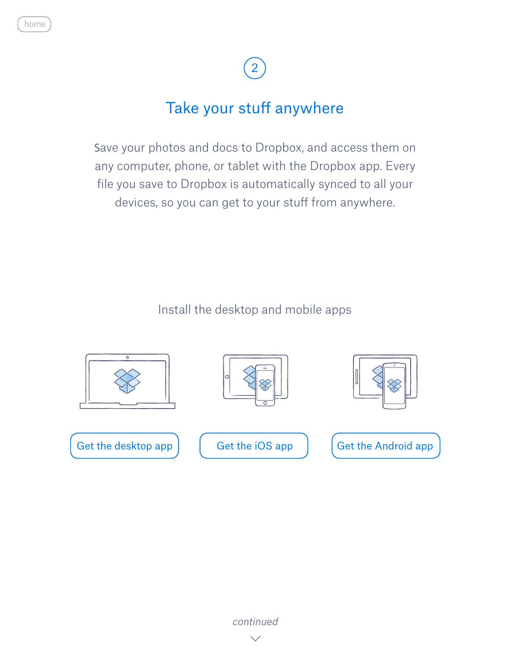### Take your stuff anywhere

<span id="page-3-0"></span>Save your photos and docs to Dropbox, and access them on any computer, phone, or tablet with the Dropbox app. Every file you save to Dropbox is automatically synced to all your devices, so you can get to your stuff from anywhere.

Install the desktop and mobile apps













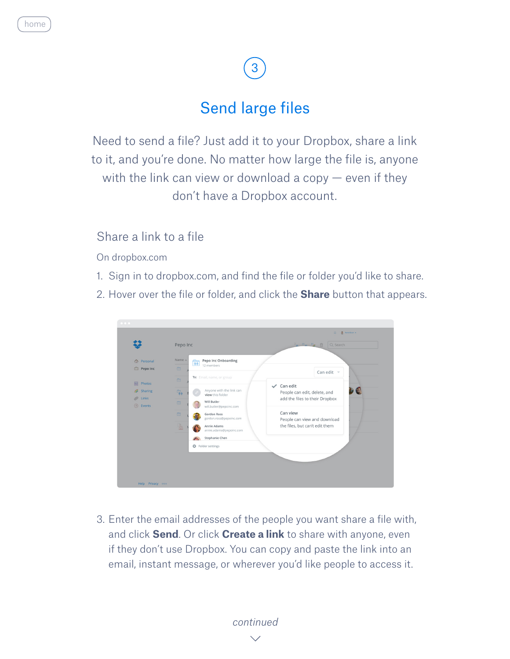### Send large files

<span id="page-4-0"></span>Need to send a file? Just add it to your Dropbox, share a link to it, and you're done. No matter how large the file is, anyone with the link can view or download a copy  $-$  even if they don't have a Dropbox account.

#### Share a link to a file

On dropbox.com

- 1. Sign in to dropbox.com, and find the file or folder you'd like to share.
- 2. Hover over the file or folder, and click the **Share** button that appears.



3. Enter the email addresses of the people you want share a file with, and click **Send**. Or click **Create a link** to share with anyone, even if they don't use Dropbox. You can copy and paste the link into an email, instant message, or wherever you'd like people to access it.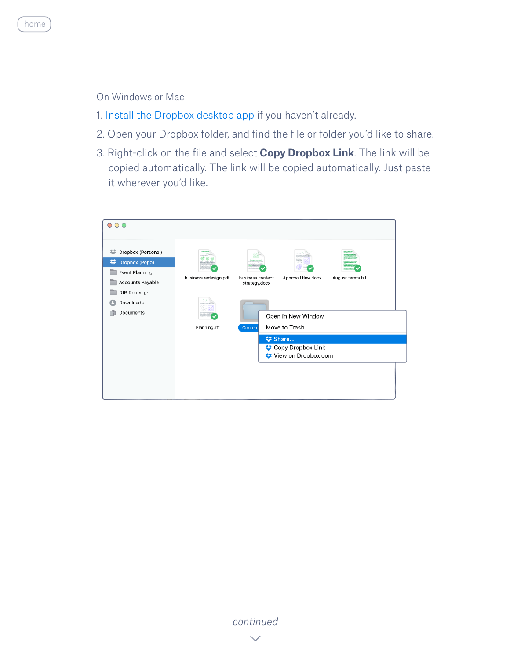

<span id="page-5-0"></span>[home](#page-0-0)

- 1. [Install the Dropbox desktop app](https://www.dropbox.com/install) if you haven't already.
- 2. Open your Dropbox folder, and find the file or folder you'd like to share.
- 3. Right-click on the file and select **Copy Dropbox Link**. The link will be copied automatically. The link will be copied automatically. Just paste it wherever you'd like.

| $\circ \circ \circ$                                                                                                                   |                                       |                                              |                                                            |                  |  |
|---------------------------------------------------------------------------------------------------------------------------------------|---------------------------------------|----------------------------------------------|------------------------------------------------------------|------------------|--|
| ⇔<br>Dropbox (Personal)<br>ະ<br>Dropbox (Pepo)<br><b>Event Planning</b><br>Accounts Payable<br>DfB Redesign<br>Downloads<br>Documents | business redesign.pdf<br>Planning.rtf | business content<br>strategy.docx<br>Content | Approval flow.docx<br>Open in New Window<br>Move to Trash  | August terms.txt |  |
|                                                                                                                                       |                                       |                                              | <b>参</b> Share<br>Copy Dropbox Link<br>View on Dropbox.com |                  |  |

*[continued](#page-6-0)*  $\searrow$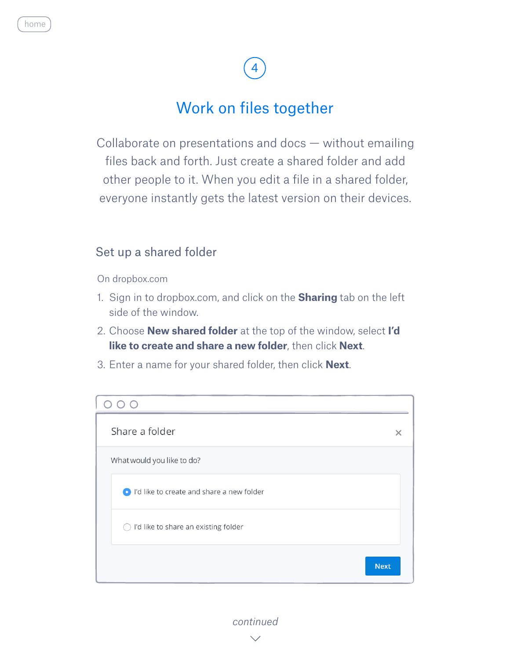### Work on files together

<span id="page-6-0"></span>Collaborate on presentations and docs — without emailing files back and forth. Just create a shared folder and add other people to it. When you edit a file in a shared folder, everyone instantly gets the latest version on their devices.

#### Set up a shared folder

On dropbox.com

- 1. Sign in to dropbox.com, and click on the **Sharing** tab on the left side of the window.
- 2. Choose **New shared folder** at the top of the window, select **I'd like to create and share a new folder**, then click **Next**.
- 3. Enter a name for your shared folder, then click **Next**.

| Share a folder                            |  |
|-------------------------------------------|--|
| What would you like to do?                |  |
| I'd like to create and share a new folder |  |
| ◯ I'd like to share an existing folder    |  |
| <b>Next</b>                               |  |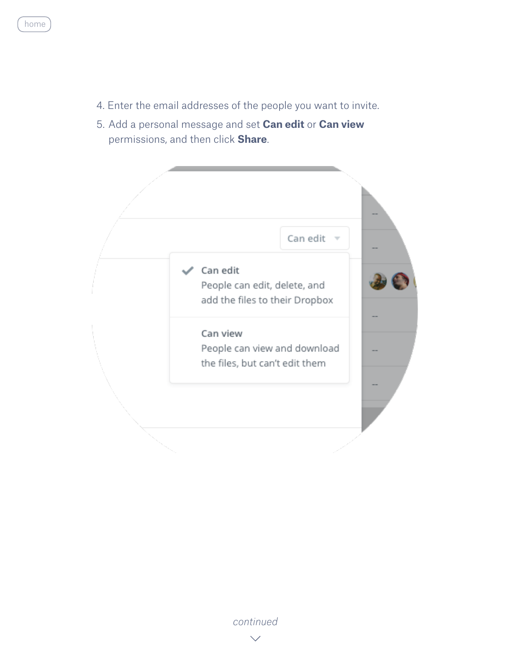- <span id="page-7-0"></span>4. Enter the email addresses of the people you want to invite.
- 5. Add a personal message and set **Can edit** or **Can view**  permissions, and then click **Share**.



*[continued](#page-8-0)*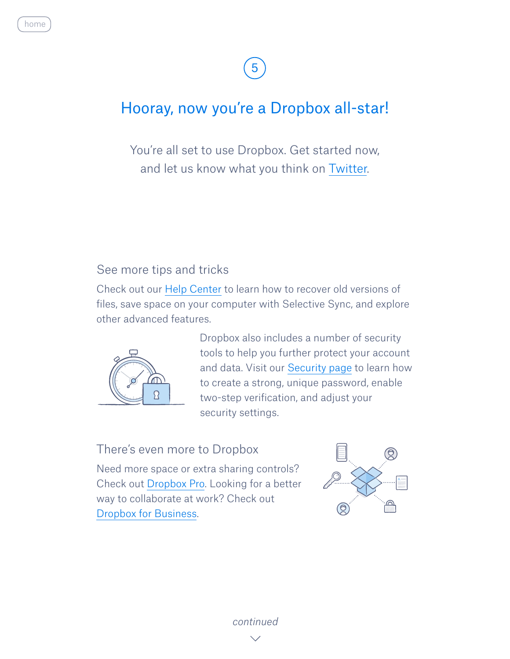### <span id="page-8-0"></span>Hooray, now you're a Dropbox all-star!

You're all set to use Dropbox. Get started now, and let us know what you think on [Twitter](https://twitter.com/dropbox).

#### See more tips and tricks

Check out our [Help Center](http://www.dropbox.com/help) to learn how to recover old versions of files, save space on your computer with Selective Sync, and explore other advanced features.



 Dropbox also includes a number of security tools to help you further protect your account and data. Visit our [Security page](https://www.dropbox.com/security) to learn how to create a strong, unique password, enable two-step verification, and adjust your security settings.

#### There's even more to Dropbox

Need more space or extra sharing controls? Check out [Dropbox Pro.](http://www.dropbox.com/pro) Looking for a better way to collaborate at work? Check out [Dropbox for Business](http://www.dropbox.com/business).